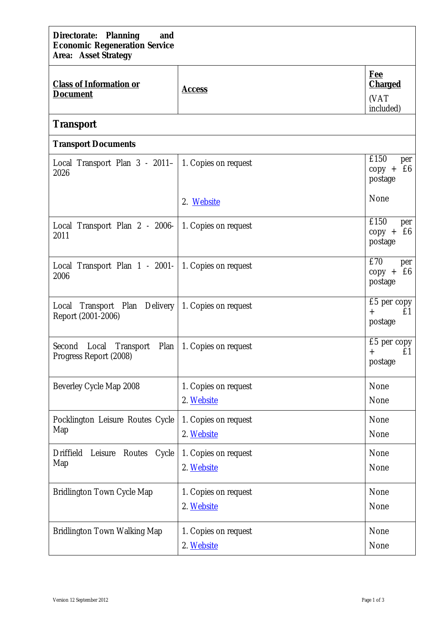| Directorate: Planning<br>and<br><b>Economic Regeneration Service</b><br><b>Area: Asset Strategy</b> |                                    |                                          |  |  |  |
|-----------------------------------------------------------------------------------------------------|------------------------------------|------------------------------------------|--|--|--|
| <b>Class of Information or</b><br><b>Document</b>                                                   | <b>Access</b>                      | <b>Fee</b><br><b>Charged</b><br>(VAT     |  |  |  |
| <b>Transport</b>                                                                                    | included)                          |                                          |  |  |  |
| <b>Transport Documents</b>                                                                          |                                    |                                          |  |  |  |
| Local Transport Plan 3 - 2011-<br>2026                                                              | 1. Copies on request               | £150<br>per<br>£6<br>$copy +$<br>postage |  |  |  |
|                                                                                                     | 2. Website                         | None                                     |  |  |  |
| Local Transport Plan 2 - 2006-<br>2011                                                              | 1. Copies on request               | £150<br>per<br>$copy +$<br>£6<br>postage |  |  |  |
| Local Transport Plan 1 - 2001-<br>2006                                                              | 1. Copies on request               | £70<br>per<br>$copy + £6$<br>postage     |  |  |  |
| Transport Plan Delivery   1. Copies on request<br>Local<br>Report (2001-2006)                       |                                    | £5 per copy<br>£1<br>$+$<br>postage      |  |  |  |
| Second Local<br>Transport<br>Plan<br>Progress Report (2008)                                         | 1. Copies on request               | £5 per copy<br>£1<br>$+$<br>postage      |  |  |  |
| Beverley Cycle Map 2008                                                                             | 1. Copies on request<br>2. Website | None<br>None                             |  |  |  |
| Pocklington Leisure Routes Cycle<br>Map                                                             | 1. Copies on request<br>2. Website | None<br>None                             |  |  |  |
| Driffield<br>Leisure<br>Routes<br>Cycle<br>Map                                                      | 1. Copies on request<br>2. Website | None<br>None                             |  |  |  |
| Bridlington Town Cycle Map                                                                          | 1. Copies on request<br>2. Website | None<br>None                             |  |  |  |
| Bridlington Town Walking Map                                                                        | 1. Copies on request<br>2. Website | None<br>None                             |  |  |  |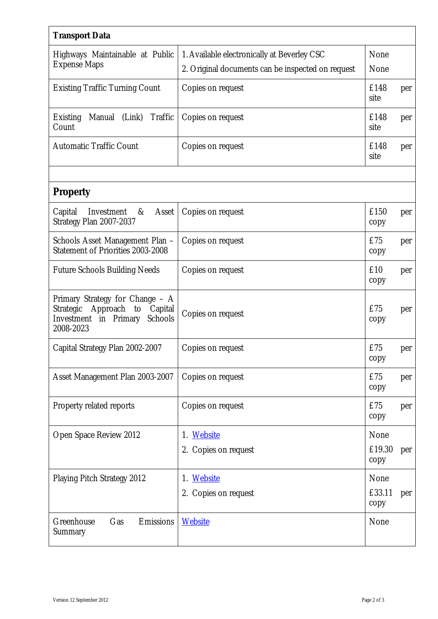| <b>Transport Data</b>                                                                                                      |                                                   |                |     |
|----------------------------------------------------------------------------------------------------------------------------|---------------------------------------------------|----------------|-----|
| Highways Maintainable at Public<br><b>Expense Maps</b>                                                                     | 1. Available electronically at Beverley CSC       | None           |     |
|                                                                                                                            | 2. Original documents can be inspected on request | None           |     |
| <b>Existing Traffic Turning Count</b>                                                                                      | Copies on request                                 | £148<br>site   | per |
| Traffic<br>(Link)<br>Manual<br><b>Existing</b><br>Count                                                                    | Copies on request                                 | £148<br>site   | per |
| <b>Automatic Traffic Count</b>                                                                                             | Copies on request                                 | £148<br>site   | per |
|                                                                                                                            |                                                   |                |     |
| <b>Property</b>                                                                                                            |                                                   |                |     |
| Capital<br>Investment<br>$-\&$<br>Asset<br>Strategy Plan 2007-2037                                                         | Copies on request                                 | £150<br>copy   | per |
| Schools Asset Management Plan -<br>Statement of Priorities 2003-2008                                                       | Copies on request                                 | £75<br>copy    | per |
| <b>Future Schools Building Needs</b>                                                                                       | Copies on request                                 | £10<br>copy    | per |
| Primary Strategy for Change - A<br>Approach<br>Capital<br>Strategic<br>to<br>Schools<br>Investment in Primary<br>2008-2023 | Copies on request                                 | £75<br>copy    | per |
| Capital Strategy Plan 2002-2007                                                                                            | Copies on request                                 | £75<br>copy    | per |
| Asset Management Plan 2003-2007                                                                                            | Copies on request                                 | £75<br>copy    | per |
| Property related reports                                                                                                   | Copies on request                                 | £75<br>copy    | per |
| Open Space Review 2012                                                                                                     | 1. Website                                        | None           |     |
|                                                                                                                            | 2. Copies on request                              | £19.30<br>copy | per |
| Playing Pitch Strategy 2012                                                                                                | 1. Website                                        | None           |     |
|                                                                                                                            | 2. Copies on request                              | £33.11<br>copy | per |
| Greenhouse<br>Gas<br>Emissions<br>Summary                                                                                  | <b>Website</b>                                    | None           |     |